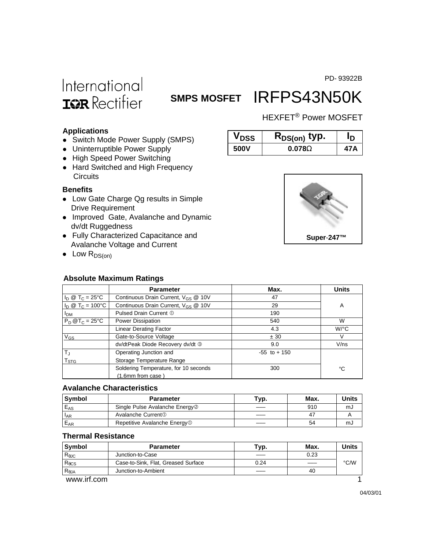PD- 93922B

# International **ISR** Rectifier

# SMPS MOSFET IRFPS43N50K

### HEXFET® Power MOSFET

#### **Applications**

- Switch Mode Power Supply (SMPS)
- Uninterruptible Power Supply
- High Speed Power Switching
- Hard Switched and High Frequency **Circuits**

#### **Benefits**

- Low Gate Charge Qg results in Simple Drive Requirement
- Improved Gate, Avalanche and Dynamic dv/dt Ruggedness
- Fully Characterized Capacitance and Avalanche Voltage and Current
- $\bullet$  Low  $R_{DS(on)}$

#### **Absolute Maximum Ratings**

| V DSS. | $R_{DS(on)}$ typ. | ח    |
|--------|-------------------|------|
| 500V   | $0.078\Omega$     | 47 A |



|                                  | <b>Parameter</b>                                | Max.            | <b>Units</b>         |
|----------------------------------|-------------------------------------------------|-----------------|----------------------|
| $I_D \otimes T_C = 25^{\circ}C$  | Continuous Drain Current, $V_{GS}$ @ 10V        | 47              |                      |
| $I_D \otimes T_C = 100^{\circ}C$ | Continuous Drain Current, V <sub>GS</sub> @ 10V | 29              | A                    |
| <b>I<sub>DM</sub></b>            | Pulsed Drain Current 1                          | 190             |                      |
| $P_D @T_C = 25°C$                | Power Dissipation                               | 540             | W                    |
|                                  | <b>Linear Derating Factor</b>                   | 4.3             | $W$ <sup>o</sup> $C$ |
| $V_{GS}$                         | Gate-to-Source Voltage                          | ± 30            | V                    |
|                                  | dv/dtPeak Diode Recovery dv/dt 3                | 9.0             | $V$ /ns              |
| $T_{\rm J}$                      | Operating Junction and                          | $-55$ to $+150$ |                      |
| $\mathsf{T}_{\text{STG}}$        | Storage Temperature Range                       |                 |                      |
|                                  | Soldering Temperature, for 10 seconds           | 300             | °C                   |
|                                  | (1.6mm from case)                               |                 |                      |

#### **Avalanche Characteristics**

| Svmbol   | <b>Parameter</b>                           | Typ. | Max. | Units |
|----------|--------------------------------------------|------|------|-------|
| $E_{AS}$ | Single Pulse Avalanche Energy <sup>2</sup> |      | 910  | mJ    |
| $I_{AR}$ | Avalanche Current <sup>1</sup>             |      | 47   |       |
| $E_{AR}$ | Repetitive Avalanche Energy <sup>1</sup>   |      | 54   | mJ    |

### **Thermal Resistance**

| Symbol          | <b>Parameter</b>                    | Тур. | Max. | Units |
|-----------------|-------------------------------------|------|------|-------|
| $R_{\theta$ JC  | Junction-to-Case                    |      | 0.23 |       |
| $R_{\theta CS}$ | Case-to-Sink, Flat, Greased Surface | 0.24 |      | °C/W  |
| $R_{\theta$ JA  | Junction-to-Ambient                 |      | 40   |       |
| www.irf.com     |                                     |      |      |       |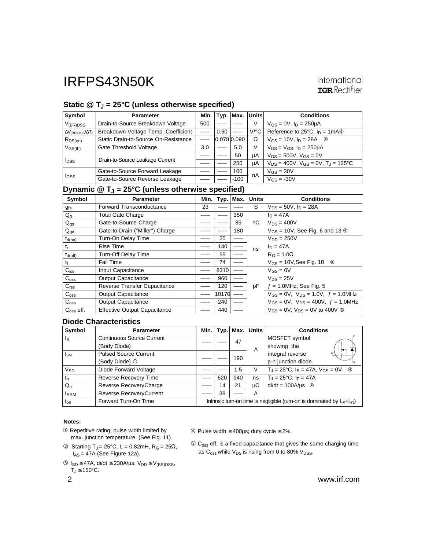## Static @ T<sub>J</sub> = 25°C (unless otherwise specified)

| Symbol                                 | <b>Parameter</b>                     | Min. l |      | Typ. Max.       | Units                | <b>Conditions</b>                                        |
|----------------------------------------|--------------------------------------|--------|------|-----------------|----------------------|----------------------------------------------------------|
| $V_{(BR)DSS}$                          | Drain-to-Source Breakdown Voltage    | 500    |      |                 | V                    | $V_{GS} = 0V$ , $I_D = 250 \mu A$                        |
| $\Delta V_{\text{(BR)DSS}}/\Delta T_J$ | Breakdown Voltage Temp. Coefficient  |        | 0.60 |                 | $V$ <sup>o</sup> $C$ | Reference to $25^{\circ}$ C, $I_D = 1 \text{mA}$         |
| $R_{DS(on)}$                           | Static Drain-to-Source On-Resistance |        |      | $0.078$ $0.090$ | Ω                    | $V_{GS} = 10V$ , $I_D = 28A$ 4                           |
| $V_{GS(th)}$                           | Gate Threshold Voltage               | 3.0    |      | 5.0             | V                    | $V_{DS} = V_{GS}$ , $I_D = 250 \mu A$                    |
| <b>I</b> <sub>DSS</sub>                | Drain-to-Source Leakage Current      |        |      | 50              | μA                   | $V_{DS} = 500V$ , $V_{GS} = 0V$                          |
|                                        |                                      |        |      | 250             | μA                   | $V_{DS} = 400V$ , $V_{GS} = 0V$ , $T_{J} = 125^{\circ}C$ |
| IGSS                                   | Gate-to-Source Forward Leakage       |        |      | 100             | nA                   | $V_{GS} = 30V$                                           |
|                                        | Gate-to-Source Reverse Leakage       |        |      | $-100$          |                      | $V_{GS} = -30V$                                          |

### **Dynamic @ TJ = 25°C (unless otherwise specified)**

| Symbol                    | <b>Parameter</b>                    | Min. | Typ.  | Max. | <b>Units</b> | <b>Conditions</b>                                    |
|---------------------------|-------------------------------------|------|-------|------|--------------|------------------------------------------------------|
| <b>gfs</b>                | <b>Forward Transconductance</b>     | 23   |       |      | S            | $V_{DS} = 50V$ , $I_D = 28A$                         |
| $\mathsf{Q}_{\mathsf{g}}$ | <b>Total Gate Charge</b>            |      |       | 350  |              | $ln = 47A$                                           |
| $Q_{gs}$                  | Gate-to-Source Charge               |      |       | 85   | пC           | $V_{DS} = 400V$                                      |
| $Q_{gd}$                  | Gate-to-Drain ("Miller") Charge     |      |       | 180  |              | $V_{GS}$ = 10V, See Fig. 6 and 13 $\circledcirc$     |
| $t_{d(on)}$               | Turn-On Delay Time                  |      | 25    |      |              | $V_{DD} = 250V$                                      |
| t <sub>r</sub>            | <b>Rise Time</b>                    |      | 140   |      | ns           | $I_D = 47A$                                          |
| $t_{d(off)}$              | Turn-Off Delay Time                 |      | 55    |      |              | $R_G = 1.0\Omega$                                    |
| tŧ                        | <b>Fall Time</b>                    |      | 74    |      |              | $V_{GS}$ = 10V, See Fig. 10 $\circ$                  |
| $C_{iss}$                 | Input Capacitance                   |      | 8310  |      |              | $V_{GS} = 0V$                                        |
| C <sub>oss</sub>          | <b>Output Capacitance</b>           |      | 960   |      |              | $V_{DS} = 25V$                                       |
| C <sub>rss</sub>          | Reverse Transfer Capacitance        |      | 120   |      | pF           | $f = 1.0$ MHz, See Fig. 5                            |
| C <sub>oss</sub>          | <b>Output Capacitance</b>           |      | 10170 |      |              | $V_{GS} = 0V$ , $V_{DS} = 1.0V$ , $f = 1.0MHz$       |
| $C_{\rm oss}$             | <b>Output Capacitance</b>           |      | 240   |      |              | $V_{GS} = 0V$ , $V_{DS} = 400V$ , $f = 1.0 MHz$      |
| $C_{\rm oss}$ eff.        | <b>Effective Output Capacitance</b> |      | 440   |      |              | $V_{GS} = 0V$ , $V_{DS} = 0V$ to 400V $\circledcirc$ |

#### **Diode Characteristics**

| Symbol      | <b>Parameter</b>                 | Min.                                                                      | Typ. | Max. | <b>Units</b>   | <b>Conditions</b>                                         |
|-------------|----------------------------------|---------------------------------------------------------------------------|------|------|----------------|-----------------------------------------------------------|
| Is          | <b>Continuous Source Current</b> |                                                                           |      | 47   |                | MOSFET symbol                                             |
|             | (Body Diode)                     |                                                                           |      |      | $\overline{A}$ | showing the                                               |
| $I_{SM}$    | <b>Pulsed Source Current</b>     |                                                                           |      |      |                | integral reverse<br>G                                     |
|             | (Body Diode) 1                   |                                                                           |      | 190  |                | p-n junction diode.                                       |
| $V_{SD}$    | Diode Forward Voltage            |                                                                           |      | 1.5  | V              | $T_J = 25$ °C, $I_S = 47A$ , $V_{GS} = 0V$<br>$\circledA$ |
| $t_{rr}$    | Reverse Recovery Time            |                                                                           | 620  | 940  | ns             | $T_J = 25^{\circ}C$ , $I_F = 47A$                         |
| $Q_{rr}$    | Reverse RecoveryCharge           |                                                                           | 14   | 21   | μC             | $di/dt = 100A/\mu s$ 4                                    |
| <b>IRRM</b> | Reverse RecoveryCurrent          |                                                                           | 38   |      | A              |                                                           |
| $t_{on}$    | Forward Turn-On Time             | Intrinsic turn-on time is negligible (turn-on is dominated by $L_S+L_D$ ) |      |      |                |                                                           |

#### **Notes:**

- Repetitive rating; pulse width limited by max. junction temperature. (See Fig. 11)
- © Starting T<sub>J</sub> = 25°C, L = 0.82mH, R<sub>G</sub> = 25Ω,  $I_{AS}$  = 47A (See Figure 12a).
- $\textcircled{3}$  I<sub>SD</sub> ≤ 47A, di/dt ≤ 230A/µs, V<sub>DD</sub> ≤ V<sub>(BR)DSS</sub>,  $\overline{T_J} \leq 150^{\circ}$ C.
- 

Pulse width ≤ 400µs; duty cycle ≤ 2%.

 $\circledS$  C<sub>oss</sub> eff. is a fixed capacitance that gives the same charging time as  $C_{\text{oss}}$  while  $V_{DS}$  is rising from 0 to 80%  $V_{DSS}$ .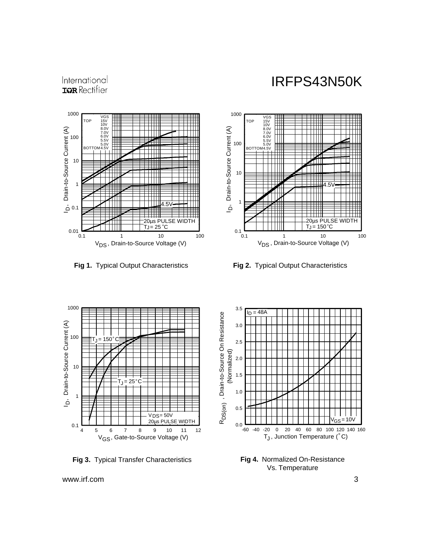## International **IGR** Rectifier



**Fig 1.** Typical Output Characteristics **Fig 2.** Typical Output Characteristics





**Fig 3.** Typical Transfer Characteristics



**Fig 4.** Normalized On-Resistance Vs. Temperature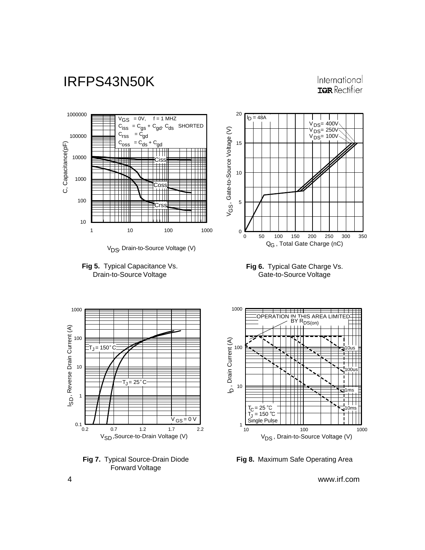### International **IGR** Rectifier



V<sub>DS</sub>, Drain-to-Source Voltage (V)













**Fig 8.** Maximum Safe Operating Area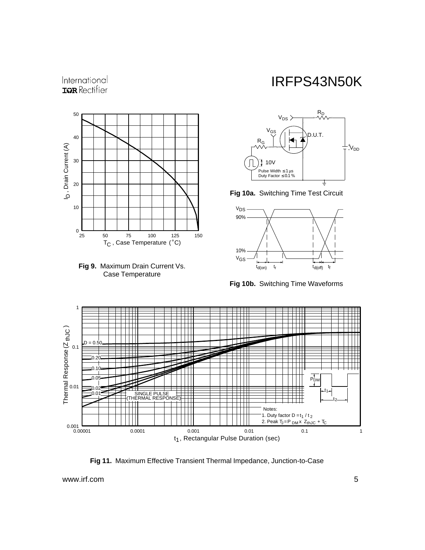## International **ISPR** Rectifier





## IRFPS43N50K



**Fig 10a.** Switching Time Test Circuit



**Fig 10b.** Switching Time Waveforms



**Fig 11.** Maximum Effective Transient Thermal Impedance, Junction-to-Case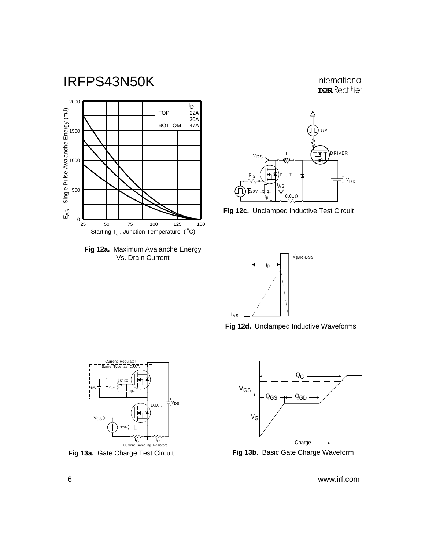

**Fig 12a.** Maximum Avalanche Energy Vs. Drain Current



International **ISPR** Rectifier





**Fig 12d.** Unclamped Inductive Waveforms





**Fig 13a.** Gate Charge Test Circuit **Fig 13b.** Basic Gate Charge Waveform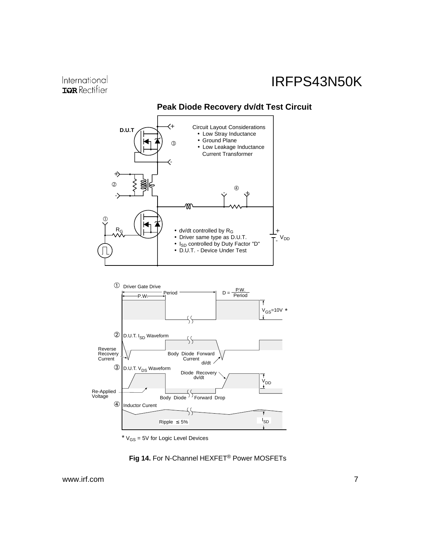### International **IGR** Rectifier

## IRFPS43N50K



 $*$   $V_{GS}$  = 5V for Logic Level Devices

### **Fig 14.** For N-Channel HEXFET® Power MOSFETs